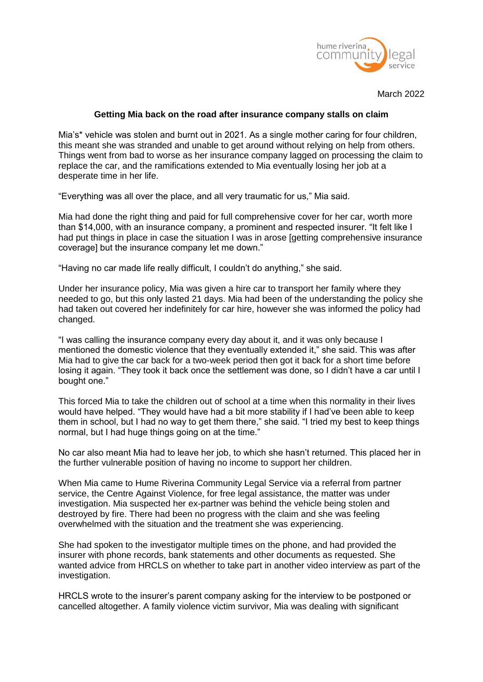

March 2022

## **Getting Mia back on the road after insurance company stalls on claim**

Mia's\* vehicle was stolen and burnt out in 2021. As a single mother caring for four children, this meant she was stranded and unable to get around without relying on help from others. Things went from bad to worse as her insurance company lagged on processing the claim to replace the car, and the ramifications extended to Mia eventually losing her job at a desperate time in her life.

"Everything was all over the place, and all very traumatic for us," Mia said.

Mia had done the right thing and paid for full comprehensive cover for her car, worth more than \$14,000, with an insurance company, a prominent and respected insurer. "It felt like I had put things in place in case the situation I was in arose [getting comprehensive insurance coverage] but the insurance company let me down."

"Having no car made life really difficult, I couldn't do anything," she said.

Under her insurance policy, Mia was given a hire car to transport her family where they needed to go, but this only lasted 21 days. Mia had been of the understanding the policy she had taken out covered her indefinitely for car hire, however she was informed the policy had changed.

"I was calling the insurance company every day about it, and it was only because I mentioned the domestic violence that they eventually extended it," she said. This was after Mia had to give the car back for a two-week period then got it back for a short time before losing it again. "They took it back once the settlement was done, so I didn't have a car until I bought one."

This forced Mia to take the children out of school at a time when this normality in their lives would have helped. "They would have had a bit more stability if I had've been able to keep them in school, but I had no way to get them there," she said. "I tried my best to keep things normal, but I had huge things going on at the time."

No car also meant Mia had to leave her job, to which she hasn't returned. This placed her in the further vulnerable position of having no income to support her children.

When Mia came to Hume Riverina Community Legal Service via a referral from partner service, the Centre Against Violence, for free legal assistance, the matter was under investigation. Mia suspected her ex-partner was behind the vehicle being stolen and destroyed by fire. There had been no progress with the claim and she was feeling overwhelmed with the situation and the treatment she was experiencing.

She had spoken to the investigator multiple times on the phone, and had provided the insurer with phone records, bank statements and other documents as requested. She wanted advice from HRCLS on whether to take part in another video interview as part of the investigation.

HRCLS wrote to the insurer's parent company asking for the interview to be postponed or cancelled altogether. A family violence victim survivor, Mia was dealing with significant